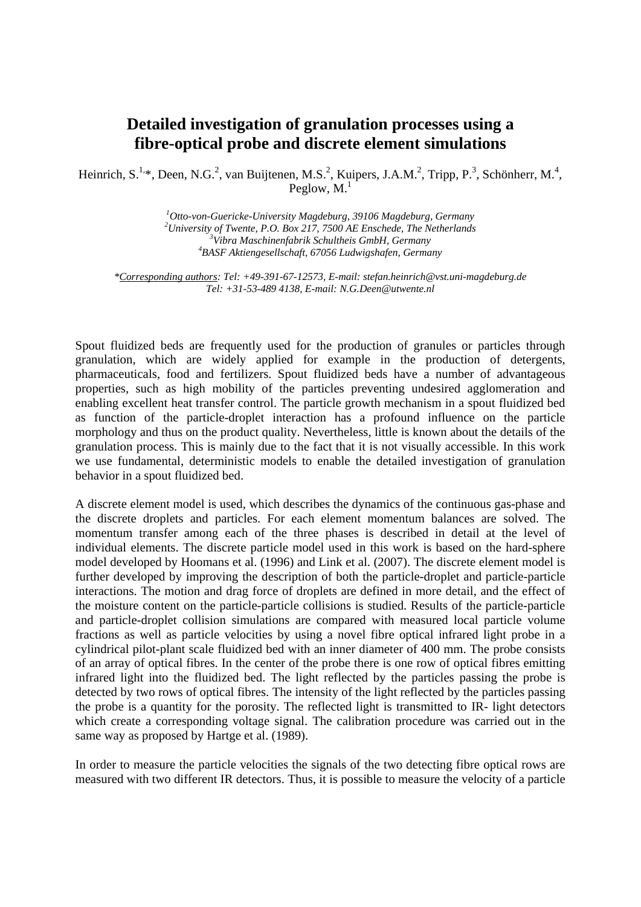## **Detailed investigation of granulation processes using a fibre-optical probe and discrete element simulations**

Heinrich, S.<sup>1,\*</sup>, Deen, N.G.<sup>2</sup>, van Buijtenen, M.S.<sup>2</sup>, Kuipers, J.A.M.<sup>2</sup>, Tripp, P.<sup>3</sup>, Schönherr, M.<sup>4</sup>, Peglow,  $M<sup>1</sup>$ 

> *1 Otto-von-Guericke-University Magdeburg, 39106 Magdeburg, Germany*  <sup>2</sup> University of Twente, P.O. Box 217, 7500 AE Enschede, The Netherlands <sup>3</sup> Vibra Masship artshyil, Schultheir Curb H. Correspondence *Vibra Maschinenfabrik Schultheis GmbH, Germany 4 BASF Aktiengesellschaft, 67056 Ludwigshafen, Germany*

*\*Corresponding authors: Tel: +49-391-67-12573, E-mail: stefan.heinrich@vst.uni-magdeburg.de Tel: +31-53-489 4138, E-mail: N.G.Deen@utwente.nl* 

Spout fluidized beds are frequently used for the production of granules or particles through granulation, which are widely applied for example in the production of detergents, pharmaceuticals, food and fertilizers. Spout fluidized beds have a number of advantageous properties, such as high mobility of the particles preventing undesired agglomeration and enabling excellent heat transfer control. The particle growth mechanism in a spout fluidized bed as function of the particle-droplet interaction has a profound influence on the particle morphology and thus on the product quality. Nevertheless, little is known about the details of the granulation process. This is mainly due to the fact that it is not visually accessible. In this work we use fundamental, deterministic models to enable the detailed investigation of granulation behavior in a spout fluidized bed.

A discrete element model is used, which describes the dynamics of the continuous gas-phase and the discrete droplets and particles. For each element momentum balances are solved. The momentum transfer among each of the three phases is described in detail at the level of individual elements. The discrete particle model used in this work is based on the hard-sphere model developed by Hoomans et al. (1996) and Link et al. (2007). The discrete element model is further developed by improving the description of both the particle-droplet and particle-particle interactions. The motion and drag force of droplets are defined in more detail, and the effect of the moisture content on the particle-particle collisions is studied. Results of the particle-particle and particle-droplet collision simulations are compared with measured local particle volume fractions as well as particle velocities by using a novel fibre optical infrared light probe in a cylindrical pilot-plant scale fluidized bed with an inner diameter of 400 mm. The probe consists of an array of optical fibres. In the center of the probe there is one row of optical fibres emitting infrared light into the fluidized bed. The light reflected by the particles passing the probe is detected by two rows of optical fibres. The intensity of the light reflected by the particles passing the probe is a quantity for the porosity. The reflected light is transmitted to IR- light detectors which create a corresponding voltage signal. The calibration procedure was carried out in the same way as proposed by Hartge et al. (1989).

In order to measure the particle velocities the signals of the two detecting fibre optical rows are measured with two different IR detectors. Thus, it is possible to measure the velocity of a particle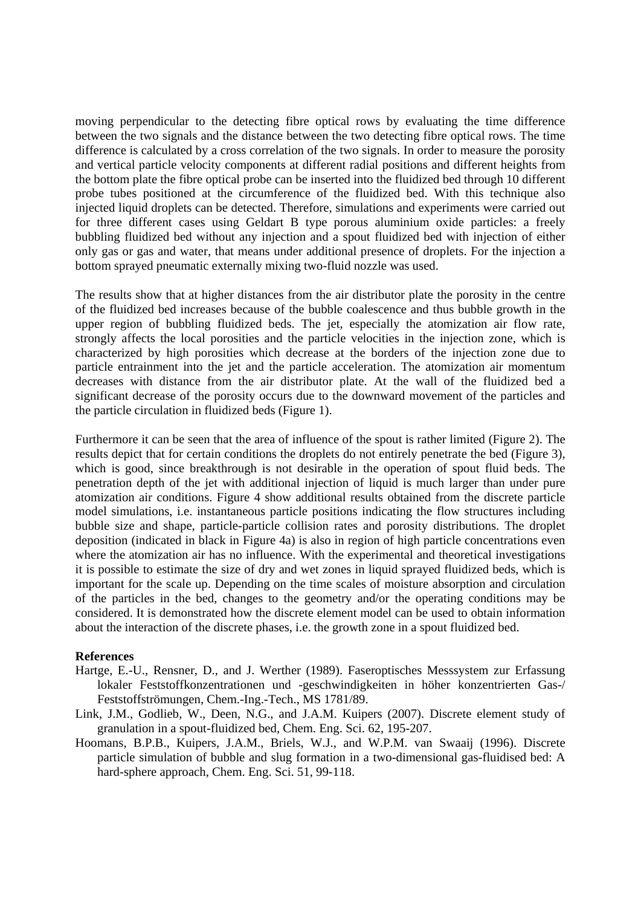moving perpendicular to the detecting fibre optical rows by evaluating the time difference between the two signals and the distance between the two detecting fibre optical rows. The time difference is calculated by a cross correlation of the two signals. In order to measure the porosity and vertical particle velocity components at different radial positions and different heights from the bottom plate the fibre optical probe can be inserted into the fluidized bed through 10 different probe tubes positioned at the circumference of the fluidized bed. With this technique also injected liquid droplets can be detected. Therefore, simulations and experiments were carried out for three different cases using Geldart B type porous aluminium oxide particles: a freely bubbling fluidized bed without any injection and a spout fluidized bed with injection of either only gas or gas and water, that means under additional presence of droplets. For the injection a bottom sprayed pneumatic externally mixing two-fluid nozzle was used.

The results show that at higher distances from the air distributor plate the porosity in the centre of the fluidized bed increases because of the bubble coalescence and thus bubble growth in the upper region of bubbling fluidized beds. The jet, especially the atomization air flow rate, strongly affects the local porosities and the particle velocities in the injection zone, which is characterized by high porosities which decrease at the borders of the injection zone due to particle entrainment into the jet and the particle acceleration. The atomization air momentum decreases with distance from the air distributor plate. At the wall of the fluidized bed a significant decrease of the porosity occurs due to the downward movement of the particles and the particle circulation in fluidized beds (Figure 1).

Furthermore it can be seen that the area of influence of the spout is rather limited (Figure 2). The results depict that for certain conditions the droplets do not entirely penetrate the bed (Figure 3), which is good, since breakthrough is not desirable in the operation of spout fluid beds. The penetration depth of the jet with additional injection of liquid is much larger than under pure atomization air conditions. Figure 4 show additional results obtained from the discrete particle model simulations, i.e. instantaneous particle positions indicating the flow structures including bubble size and shape, particle-particle collision rates and porosity distributions. The droplet deposition (indicated in black in Figure 4a) is also in region of high particle concentrations even where the atomization air has no influence. With the experimental and theoretical investigations it is possible to estimate the size of dry and wet zones in liquid sprayed fluidized beds, which is important for the scale up. Depending on the time scales of moisture absorption and circulation of the particles in the bed, changes to the geometry and/or the operating conditions may be considered. It is demonstrated how the discrete element model can be used to obtain information about the interaction of the discrete phases, i.e. the growth zone in a spout fluidized bed.

## **References**

- Hartge, E.-U., Rensner, D., and J. Werther (1989). Faseroptisches Messsystem zur Erfassung lokaler Feststoffkonzentrationen und -geschwindigkeiten in höher konzentrierten Gas-/ Feststoffströmungen, Chem.-Ing.-Tech., MS 1781/89.
- Link, J.M., Godlieb, W., Deen, N.G., and J.A.M. Kuipers (2007). Discrete element study of granulation in a spout-fluidized bed, Chem. Eng. Sci. 62, 195-207.
- Hoomans, B.P.B., Kuipers, J.A.M., Briels, W.J., and W.P.M. van Swaaij (1996). Discrete particle simulation of bubble and slug formation in a two-dimensional gas-fluidised bed: A hard-sphere approach, Chem. Eng. Sci. 51, 99-118.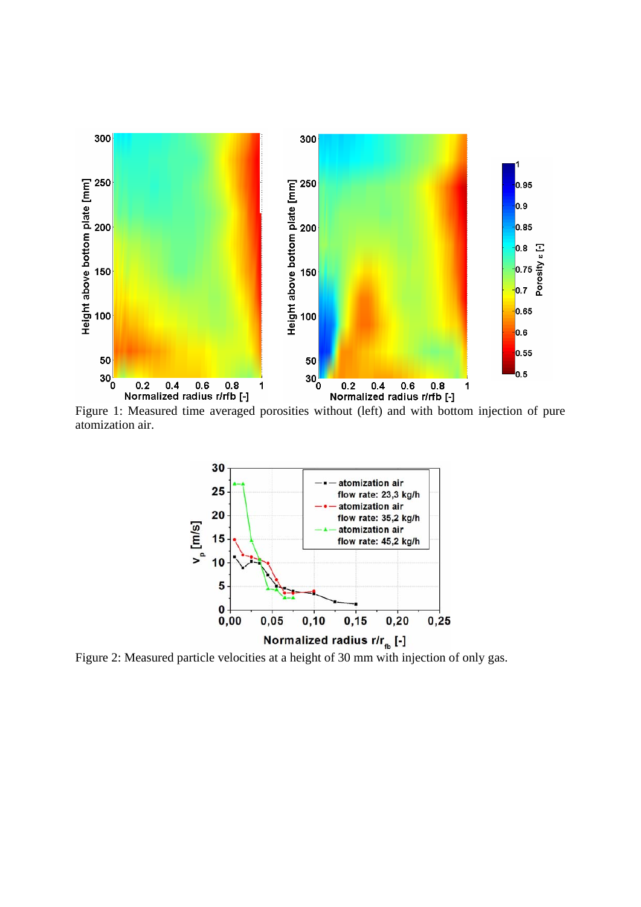

Figure 1: Measured time averaged porosities without (left) and with bottom injection of pure atomization air.



Figure 2: Measured particle velocities at a height of 30 mm with injection of only gas.